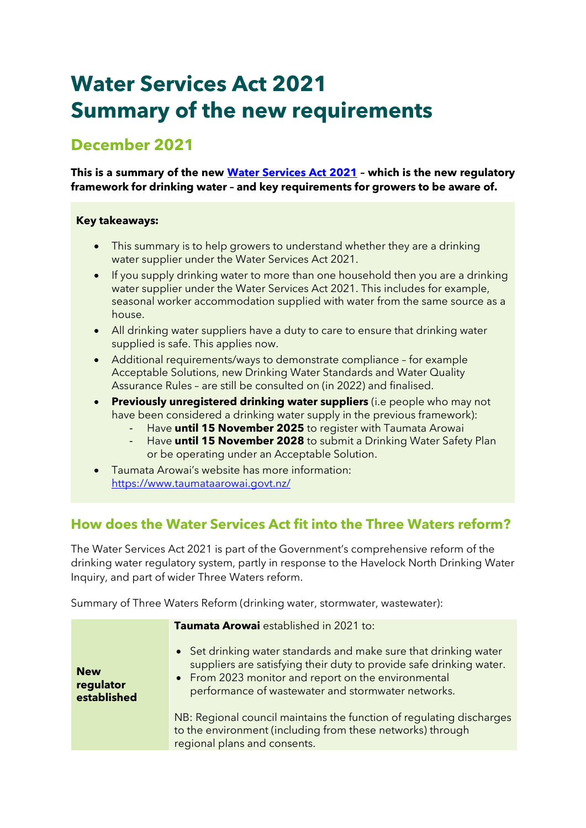# **Water Services Act 2021 Summary of the new requirements**

# **December 2021**

**This is a summary of the new [Water Services Act](https://www.legislation.govt.nz/act/public/2021/0036/latest/LMS374564.html) 2021 – which is the new regulatory framework for drinking water – and key requirements for growers to be aware of.**

### **Key takeaways:**

- This summary is to help growers to understand whether they are a drinking water supplier under the Water Services Act 2021.
- If you supply drinking water to more than one household then you are a drinking water supplier under the Water Services Act 2021. This includes for example, seasonal worker accommodation supplied with water from the same source as a house.
- All drinking water suppliers have a duty to care to ensure that drinking water supplied is safe. This applies now.
- Additional requirements/ways to demonstrate compliance for example Acceptable Solutions, new Drinking Water Standards and Water Quality Assurance Rules – are still be consulted on (in 2022) and finalised.
- **Previously unregistered drinking water suppliers** (i.e people who may not have been considered a drinking water supply in the previous framework):
	- Have **until 15 November 2025** to register with Taumata Arowai
	- Have **until 15 November 2028** to submit a Drinking Water Safety Plan or be operating under an Acceptable Solution.
- Taumata Arowai's website has more information: <https://www.taumataarowai.govt.nz/>

### **How does the Water Services Act fit into the Three Waters reform?**

The Water Services Act 2021 is part of the Government's comprehensive reform of the drinking water regulatory system, partly in response to the Havelock North Drinking Water Inquiry, and part of wider Three Waters reform.

Summary of Three Waters Reform (drinking water, stormwater, wastewater):

|                                        | Taumata Arowai established in 2021 to:                                                                                                                                                                                                               |  |
|----------------------------------------|------------------------------------------------------------------------------------------------------------------------------------------------------------------------------------------------------------------------------------------------------|--|
| <b>New</b><br>regulator<br>established | • Set drinking water standards and make sure that drinking water<br>suppliers are satisfying their duty to provide safe drinking water.<br>• From 2023 monitor and report on the environmental<br>performance of wastewater and stormwater networks. |  |
|                                        | NB: Regional council maintains the function of regulating discharges<br>to the environment (including from these networks) through<br>regional plans and consents.                                                                                   |  |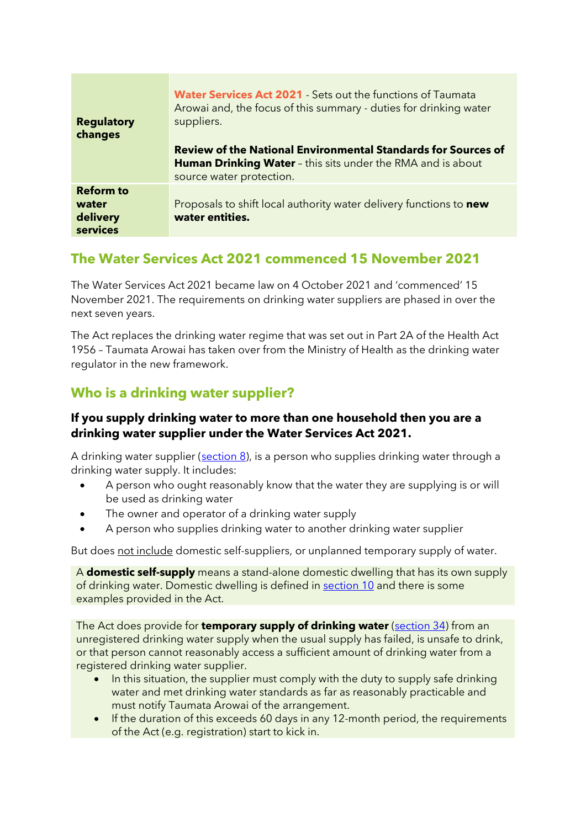| <b>Regulatory</b><br>changes                      | <b>Water Services Act 2021</b> Sets out the functions of Taumata<br>Arowai and, the focus of this summary - duties for drinking water<br>suppliers.                    |
|---------------------------------------------------|------------------------------------------------------------------------------------------------------------------------------------------------------------------------|
|                                                   | <b>Review of the National Environmental Standards for Sources of</b><br><b>Human Drinking Water</b> - this sits under the RMA and is about<br>source water protection. |
| <b>Reform to</b><br>water<br>delivery<br>services | Proposals to shift local authority water delivery functions to new<br>water entities.                                                                                  |

# **The Water Services Act 2021 commenced 15 November 2021**

The Water Services Act 2021 became law on 4 October 2021 and 'commenced' 15 November 2021. The requirements on drinking water suppliers are phased in over the next seven years.

The Act replaces the drinking water regime that was set out in Part 2A of the Health Act 1956 – Taumata Arowai has taken over from the Ministry of Health as the drinking water regulator in the new framework.

# **Who is a drinking water supplier?**

### **If you supply drinking water to more than one household then you are a drinking water supplier under the Water Services Act 2021.**

A drinking water supplier [\(section 8\)](https://www.legislation.govt.nz/act/public/2021/0036/latest/LMS374663.html), is a person who supplies drinking water through a drinking water supply. It includes:

- A person who ought reasonably know that the water they are supplying is or will be used as drinking water
- The owner and operator of a drinking water supply
- A person who supplies drinking water to another drinking water supplier

But does not include domestic self-suppliers, or unplanned temporary supply of water.

A **domestic self-supply** means a stand-alone domestic dwelling that has its own supply of drinking water. Domestic dwelling is defined in [section 10](https://www.legislation.govt.nz/act/public/2021/0036/latest/LMS374671.html) and there is some examples provided in the Act.

The Act does provide for **temporary supply of drinking water** [\(section](https://www.legislation.govt.nz/act/public/2021/0036/latest/LMS374710.html?search=sw_096be8ed81b70fa5_temporary_25_se&p=1&sr=2) 34) from an unregistered drinking water supply when the usual supply has failed, is unsafe to drink, or that person cannot reasonably access a sufficient amount of drinking water from a registered drinking water supplier.

- In this situation, the supplier must comply with the duty to supply safe drinking water and met drinking water standards as far as reasonably practicable and must notify Taumata Arowai of the arrangement.
- If the duration of this exceeds 60 days in any 12-month period, the requirements of the Act (e.g. registration) start to kick in.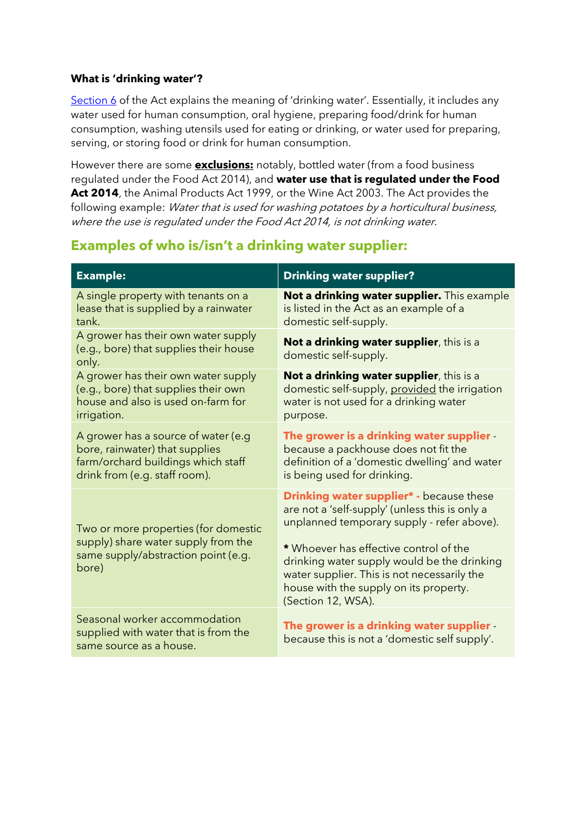### **What is 'drinking water'?**

[Section 6](https://www.legislation.govt.nz/act/public/2021/0036/latest/LMS374659.html?search=sw_096be8ed81b70fa5_temporary_25_se&p=1) of the Act explains the meaning of 'drinking water'. Essentially, it includes any water used for human consumption, oral hygiene, preparing food/drink for human consumption, washing utensils used for eating or drinking, or water used for preparing, serving, or storing food or drink for human consumption.

However there are some **exclusions:** notably, bottled water (from a food business regulated under the Food Act 2014), and **water use that is regulated under the Food Act 2014**, the Animal Products Act 1999, or the Wine Act 2003. The Act provides the following example: Water that is used for washing potatoes by a horticultural business, where the use is regulated under the Food Act 2014, is not drinking water.

# **Examples of who is/isn't a drinking water supplier:**

| <b>Example:</b>                                                                                                                              | <b>Drinking water supplier?</b>                                                                                                                                                                                                                                                                                                                         |
|----------------------------------------------------------------------------------------------------------------------------------------------|---------------------------------------------------------------------------------------------------------------------------------------------------------------------------------------------------------------------------------------------------------------------------------------------------------------------------------------------------------|
| A single property with tenants on a<br>lease that is supplied by a rainwater<br>tank.                                                        | Not a drinking water supplier. This example<br>is listed in the Act as an example of a<br>domestic self-supply.                                                                                                                                                                                                                                         |
| A grower has their own water supply<br>(e.g., bore) that supplies their house<br>only.                                                       | Not a drinking water supplier, this is a<br>domestic self-supply.                                                                                                                                                                                                                                                                                       |
| A grower has their own water supply<br>(e.g., bore) that supplies their own<br>house and also is used on-farm for<br>irrigation.             | Not a drinking water supplier, this is a<br>domestic self-supply, provided the irrigation<br>water is not used for a drinking water<br>purpose.                                                                                                                                                                                                         |
| A grower has a source of water (e.g<br>bore, rainwater) that supplies<br>farm/orchard buildings which staff<br>drink from (e.g. staff room). | The grower is a drinking water supplier<br>because a packhouse does not fit the<br>definition of a 'domestic dwelling' and water<br>is being used for drinking.                                                                                                                                                                                         |
| Two or more properties (for domestic<br>supply) share water supply from the<br>same supply/abstraction point (e.g.<br>bore)                  | <b>Drinking water supplier*</b> - because these<br>are not a 'self-supply' (unless this is only a<br>unplanned temporary supply - refer above).<br>* Whoever has effective control of the<br>drinking water supply would be the drinking<br>water supplier. This is not necessarily the<br>house with the supply on its property.<br>(Section 12, WSA). |
| Seasonal worker accommodation<br>supplied with water that is from the<br>same source as a house.                                             | The grower is a drinking water supplier<br>because this is not a 'domestic self supply'.                                                                                                                                                                                                                                                                |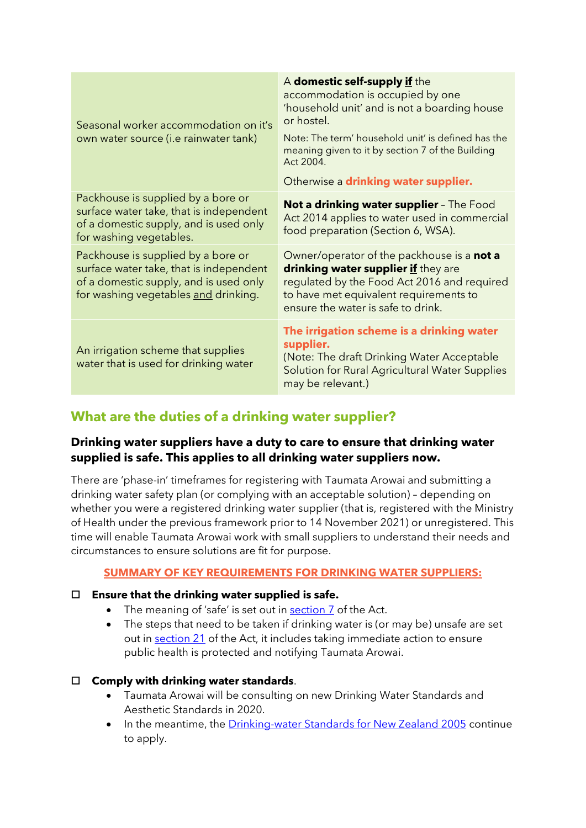| Seasonal worker accommodation on it's<br>own water source (i.e rainwater tank)                                                                                  | A domestic self-supply if the<br>accommodation is occupied by one<br>'household unit' and is not a boarding house<br>or hostel.<br>Note: The term' household unit' is defined has the<br>meaning given to it by section 7 of the Building<br>Act 2004.<br>Otherwise a drinking water supplier. |
|-----------------------------------------------------------------------------------------------------------------------------------------------------------------|------------------------------------------------------------------------------------------------------------------------------------------------------------------------------------------------------------------------------------------------------------------------------------------------|
| Packhouse is supplied by a bore or<br>surface water take, that is independent<br>of a domestic supply, and is used only<br>for washing vegetables.              | <b>Not a drinking water supplier</b> - The Food<br>Act 2014 applies to water used in commercial<br>food preparation (Section 6, WSA).                                                                                                                                                          |
| Packhouse is supplied by a bore or<br>surface water take, that is independent<br>of a domestic supply, and is used only<br>for washing vegetables and drinking. | Owner/operator of the packhouse is a not a<br>drinking water supplier if they are<br>regulated by the Food Act 2016 and required<br>to have met equivalent requirements to<br>ensure the water is safe to drink.                                                                               |
| An irrigation scheme that supplies<br>water that is used for drinking water                                                                                     | The irrigation scheme is a drinking water<br>supplier.<br>(Note: The draft Drinking Water Acceptable<br>Solution for Rural Agricultural Water Supplies<br>may be relevant.)                                                                                                                    |

### **What are the duties of a drinking water supplier?**

### **Drinking water suppliers have a duty to care to ensure that drinking water supplied is safe. This applies to all drinking water suppliers now.**

There are 'phase-in' timeframes for registering with Taumata Arowai and submitting a drinking water safety plan (or complying with an acceptable solution) – depending on whether you were a registered drinking water supplier (that is, registered with the Ministry of Health under the previous framework prior to 14 November 2021) or unregistered. This time will enable Taumata Arowai work with small suppliers to understand their needs and circumstances to ensure solutions are fit for purpose.

### **SUMMARY OF KEY REQUIREMENTS FOR DRINKING WATER SUPPLIERS:**

### **Ensure that the drinking water supplied is safe.**

- The meaning of 'safe' is set out in [section 7](https://www.legislation.govt.nz/act/public/2021/0036/latest/LMS374661.html) of the Act.
- The steps that need to be taken if drinking water is (or may be) unsafe are set out in [section 21](https://www.legislation.govt.nz/act/public/2021/0036/latest/LMS374692.html) of the Act, it includes taking immediate action to ensure public health is protected and notifying Taumata Arowai.

### **Comply with drinking water standards**.

- Taumata Arowai will be consulting on new Drinking Water Standards and Aesthetic Standards in 2020.
- In the meantime, the [Drinking-water Standards for New Zealand 2005](https://www.taumataarowai.govt.nz/for-water-suppliers/current-drinking-water-standards/) continue to apply.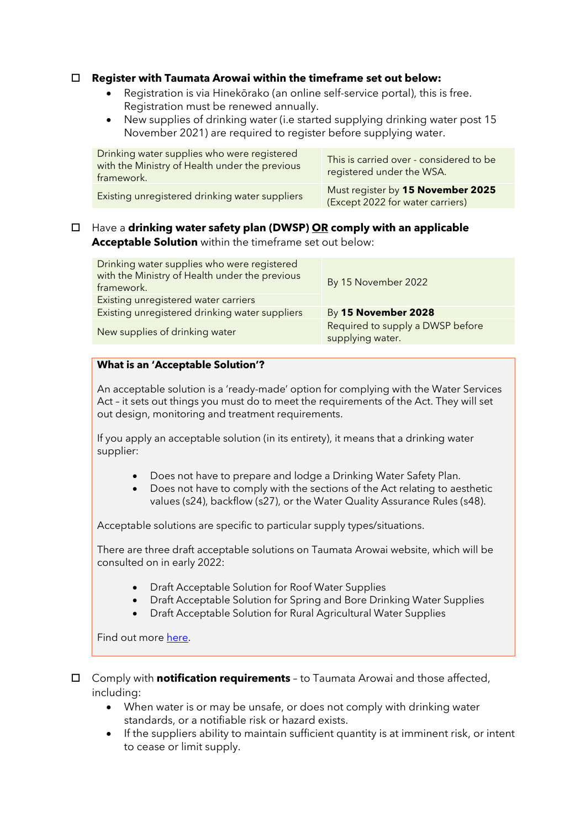### **Register with Taumata Arowai within the timeframe set out below:**

- Registration is via Hinekōrako (an online self-service portal), this is free. Registration must be renewed annually.
- New supplies of drinking water (i.e started supplying drinking water post 15 November 2021) are required to register before supplying water.

| Drinking water supplies who were registered<br>with the Ministry of Health under the previous<br>framework. | This is carried over - considered to be<br>registered under the WSA.  |
|-------------------------------------------------------------------------------------------------------------|-----------------------------------------------------------------------|
| Existing unregistered drinking water suppliers                                                              | Must register by 15 November 2025<br>(Except 2022 for water carriers) |

 Have a **drinking water safety plan (DWSP) OR comply with an applicable Acceptable Solution** within the timeframe set out below:

| Drinking water supplies who were registered<br>with the Ministry of Health under the previous<br>framework. | By 15 November 2022                                  |
|-------------------------------------------------------------------------------------------------------------|------------------------------------------------------|
| Existing unregistered water carriers                                                                        |                                                      |
| Existing unregistered drinking water suppliers                                                              | By 15 November 2028                                  |
| New supplies of drinking water                                                                              | Required to supply a DWSP before<br>supplying water. |

#### **What is an 'Acceptable Solution'?**

An acceptable solution is a 'ready-made' option for complying with the Water Services Act – it sets out things you must do to meet the requirements of the Act. They will set out design, monitoring and treatment requirements.

If you apply an acceptable solution (in its entirety), it means that a drinking water supplier:

- Does not have to prepare and lodge a Drinking Water Safety Plan.
- Does not have to comply with the sections of the Act relating to aesthetic values (s24), backflow (s27), or the Water Quality Assurance Rules (s48).

Acceptable solutions are specific to particular supply types/situations.

There are three draft acceptable solutions on Taumata Arowai website, which will be consulted on in early 2022:

- Draft Acceptable Solution for Roof Water Supplies
- Draft Acceptable Solution for Spring and Bore Drinking Water Supplies
- Draft Acceptable Solution for Rural Agricultural Water Supplies

Find out more [here.](https://www.taumataarowai.govt.nz/for-water-suppliers/new-compliance-rules-and-standards-2/)

- Comply with **notification requirements** to Taumata Arowai and those affected, including:
	- When water is or may be unsafe, or does not comply with drinking water standards, or a notifiable risk or hazard exists.
	- If the suppliers ability to maintain sufficient quantity is at imminent risk, or intent to cease or limit supply.